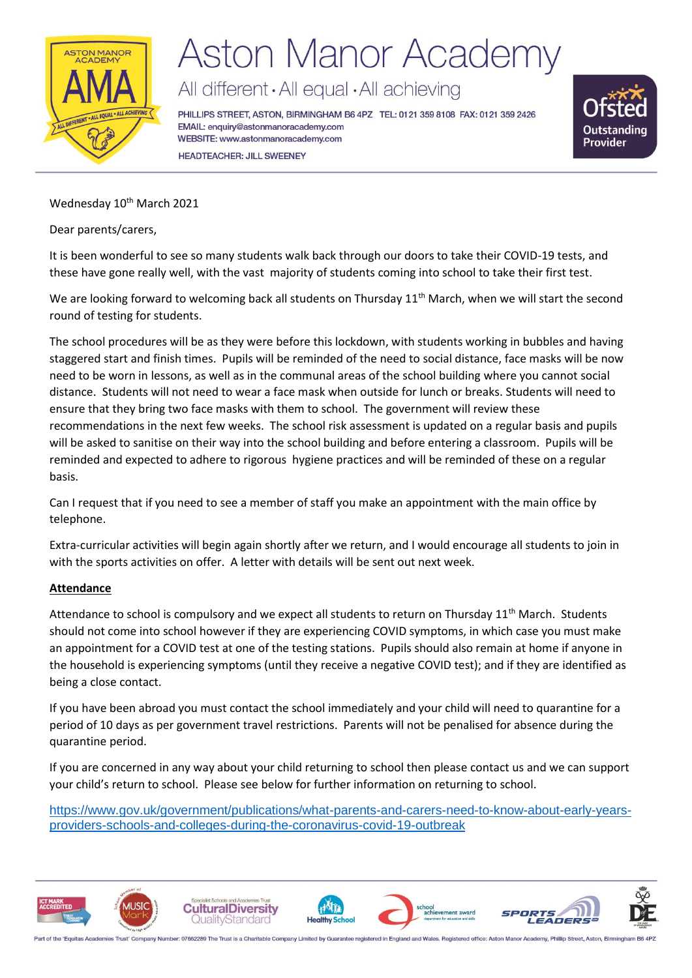

# **Aston Manor Academy**

All different · All equal · All achieving

PHILLIPS STREET, ASTON, BIRMINGHAM B6 4PZ TEL: 0121 359 8108 FAX: 0121 359 2426 EMAIL: enquiry@astonmanoracademy.com WEBSITE: www.astonmanoracademy.com **HEADTEACHER: JILL SWEENEY** 



Wednesday 10<sup>th</sup> March 2021

Dear parents/carers,

It is been wonderful to see so many students walk back through our doors to take their COVID-19 tests, and these have gone really well, with the vast majority of students coming into school to take their first test.

We are looking forward to welcoming back all students on Thursday 11<sup>th</sup> March, when we will start the second round of testing for students.

The school procedures will be as they were before this lockdown, with students working in bubbles and having staggered start and finish times. Pupils will be reminded of the need to social distance, face masks will be now need to be worn in lessons, as well as in the communal areas of the school building where you cannot social distance. Students will not need to wear a face mask when outside for lunch or breaks. Students will need to ensure that they bring two face masks with them to school. The government will review these recommendations in the next few weeks. The school risk assessment is updated on a regular basis and pupils will be asked to sanitise on their way into the school building and before entering a classroom. Pupils will be reminded and expected to adhere to rigorous hygiene practices and will be reminded of these on a regular basis.

Can I request that if you need to see a member of staff you make an appointment with the main office by telephone.

Extra-curricular activities will begin again shortly after we return, and I would encourage all students to join in with the sports activities on offer. A letter with details will be sent out next week.

### **Attendance**

Attendance to school is compulsory and we expect all students to return on Thursday  $11^{th}$  March. Students should not come into school however if they are experiencing COVID symptoms, in which case you must make an appointment for a COVID test at one of the testing stations. Pupils should also remain at home if anyone in the household is experiencing symptoms (until they receive a negative COVID test); and if they are identified as being a close contact.

If you have been abroad you must contact the school immediately and your child will need to quarantine for a period of 10 days as per government travel restrictions. Parents will not be penalised for absence during the quarantine period.

If you are concerned in any way about your child returning to school then please contact us and we can support your child's return to school. Please see below for further information on returning to school.

[https://www.gov.uk/government/publications/what-parents-and-carers-need-to-know-about-early-years](https://www.gov.uk/government/publications/what-parents-and-carers-need-to-know-about-early-years-providers-schools-and-colleges-during-the-coronavirus-covid-19-outbreak?utm_source=91dfa5fa-93cf-4db7-9a7e-b991616757ec&utm_medium=email&utm_campaign=govuk-notifications&utm_content=daily)[providers-schools-and-colleges-during-the-coronavirus-covid-19-outbreak](https://www.gov.uk/government/publications/what-parents-and-carers-need-to-know-about-early-years-providers-schools-and-colleges-during-the-coronavirus-covid-19-outbreak?utm_source=91dfa5fa-93cf-4db7-9a7e-b991616757ec&utm_medium=email&utm_campaign=govuk-notifications&utm_content=daily)